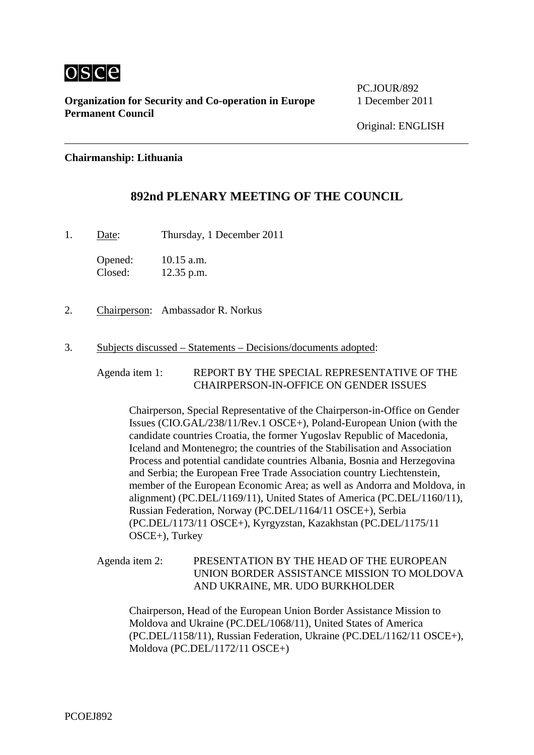

**Organization for Security and Co-operation in Europe** 1 December 2011 **Permanent Council** 

PC.JOUR/892

## **Chairmanship: Lithuania**

# **892nd PLENARY MEETING OF THE COUNCIL**

1. Date: Thursday, 1 December 2011

Opened: 10.15 a.m. Closed: 12.35 p.m.

- 2. Chairperson: Ambassador R. Norkus
- 3. Subjects discussed Statements Decisions/documents adopted:

Agenda item 1: REPORT BY THE SPECIAL REPRESENTATIVE OF THE CHAIRPERSON-IN-OFFICE ON GENDER ISSUES

Chairperson, Special Representative of the Chairperson-in-Office on Gender Issues (CIO.GAL/238/11/Rev.1 OSCE+), Poland-European Union (with the candidate countries Croatia, the former Yugoslav Republic of Macedonia, Iceland and Montenegro; the countries of the Stabilisation and Association Process and potential candidate countries Albania, Bosnia and Herzegovina and Serbia; the European Free Trade Association country Liechtenstein, member of the European Economic Area; as well as Andorra and Moldova, in alignment) (PC.DEL/1169/11), United States of America (PC.DEL/1160/11), Russian Federation, Norway (PC.DEL/1164/11 OSCE+), Serbia (PC.DEL/1173/11 OSCE+), Kyrgyzstan, Kazakhstan (PC.DEL/1175/11 OSCE+), Turkey

Agenda item 2: PRESENTATION BY THE HEAD OF THE EUROPEAN UNION BORDER ASSISTANCE MISSION TO MOLDOVA AND UKRAINE, MR. UDO BURKHOLDER

Chairperson, Head of the European Union Border Assistance Mission to Moldova and Ukraine (PC.DEL/1068/11), United States of America (PC.DEL/1158/11), Russian Federation, Ukraine (PC.DEL/1162/11 OSCE+), Moldova (PC.DEL/1172/11 OSCE+)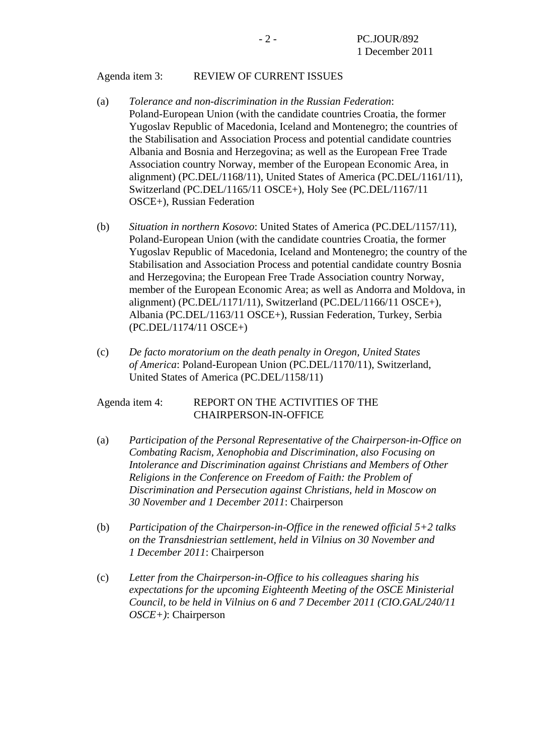## Agenda item 3: REVIEW OF CURRENT ISSUES

- (a) *Tolerance and non-discrimination in the Russian Federation*: Poland-European Union (with the candidate countries Croatia, the former Yugoslav Republic of Macedonia, Iceland and Montenegro; the countries of the Stabilisation and Association Process and potential candidate countries Albania and Bosnia and Herzegovina; as well as the European Free Trade Association country Norway, member of the European Economic Area, in alignment) (PC.DEL/1168/11), United States of America (PC.DEL/1161/11), Switzerland (PC.DEL/1165/11 OSCE+), Holy See (PC.DEL/1167/11 OSCE+), Russian Federation
- (b) *Situation in northern Kosovo*: United States of America (PC.DEL/1157/11), Poland-European Union (with the candidate countries Croatia, the former Yugoslav Republic of Macedonia, Iceland and Montenegro; the country of the Stabilisation and Association Process and potential candidate country Bosnia and Herzegovina; the European Free Trade Association country Norway, member of the European Economic Area; as well as Andorra and Moldova, in alignment) (PC.DEL/1171/11), Switzerland (PC.DEL/1166/11 OSCE+), Albania (PC.DEL/1163/11 OSCE+), Russian Federation, Turkey, Serbia (PC.DEL/1174/11 OSCE+)
- (c) *De facto moratorium on the death penalty in Oregon, United States of America*: Poland-European Union (PC.DEL/1170/11), Switzerland, United States of America (PC.DEL/1158/11)

## Agenda item 4: REPORT ON THE ACTIVITIES OF THE CHAIRPERSON-IN-OFFICE

- (a) *Participation of the Personal Representative of the Chairperson-in-Office on Combating Racism, Xenophobia and Discrimination, also Focusing on Intolerance and Discrimination against Christians and Members of Other Religions in the Conference on Freedom of Faith: the Problem of Discrimination and Persecution against Christians, held in Moscow on 30 November and 1 December 2011*: Chairperson
- (b) *Participation of the Chairperson-in-Office in the renewed official 5+2 talks on the Transdniestrian settlement, held in Vilnius on 30 November and 1 December 2011*: Chairperson
- (c) *Letter from the Chairperson-in-Office to his colleagues sharing his expectations for the upcoming Eighteenth Meeting of the OSCE Ministerial Council, to be held in Vilnius on 6 and 7 December 2011 (CIO.GAL/240/11 OSCE+)*: Chairperson